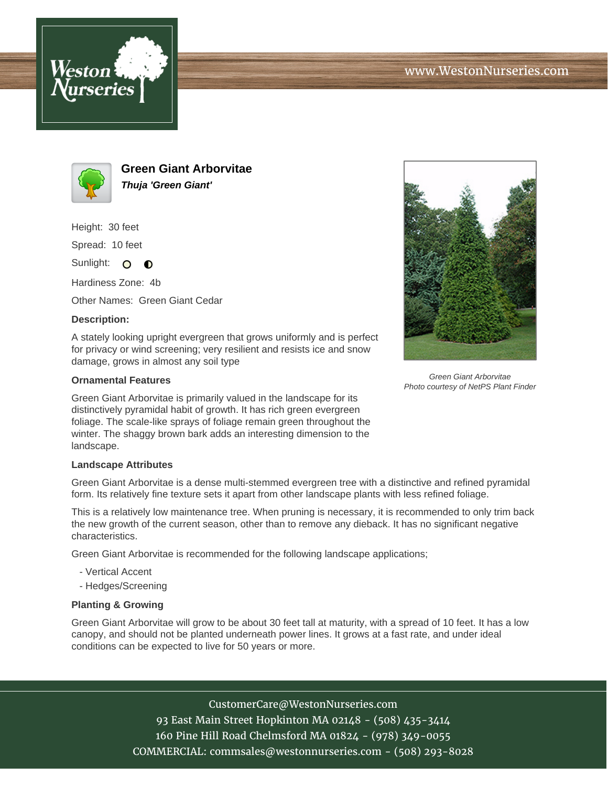



**Green Giant Arborvitae Thuja 'Green Giant'**

Height: 30 feet

Spread: 10 feet

Sunlight: O **O** 

Hardiness Zone: 4b

Other Names: Green Giant Cedar

## **Description:**

A stately looking upright evergreen that grows uniformly and is perfect for privacy or wind screening; very resilient and resists ice and snow damage, grows in almost any soil type

## **Ornamental Features**

Green Giant Arborvitae is primarily valued in the landscape for its distinctively pyramidal habit of growth. It has rich green evergreen foliage. The scale-like sprays of foliage remain green throughout the winter. The shaggy brown bark adds an interesting dimension to the landscape.

## **Landscape Attributes**

Green Giant Arborvitae is a dense multi-stemmed evergreen tree with a distinctive and refined pyramidal form. Its relatively fine texture sets it apart from other landscape plants with less refined foliage.

This is a relatively low maintenance tree. When pruning is necessary, it is recommended to only trim back the new growth of the current season, other than to remove any dieback. It has no significant negative characteristics.

Green Giant Arborvitae is recommended for the following landscape applications;

- Vertical Accent
- Hedges/Screening

## **Planting & Growing**

Green Giant Arborvitae will grow to be about 30 feet tall at maturity, with a spread of 10 feet. It has a low canopy, and should not be planted underneath power lines. It grows at a fast rate, and under ideal conditions can be expected to live for 50 years or more.

> CustomerCare@WestonNurseries.com 93 East Main Street Hopkinton MA 02148 - (508) 435-3414 160 Pine Hill Road Chelmsford MA 01824 - (978) 349-0055 COMMERCIAL: commsales@westonnurseries.com - (508) 293-8028



Green Giant Arborvitae Photo courtesy of NetPS Plant Finder